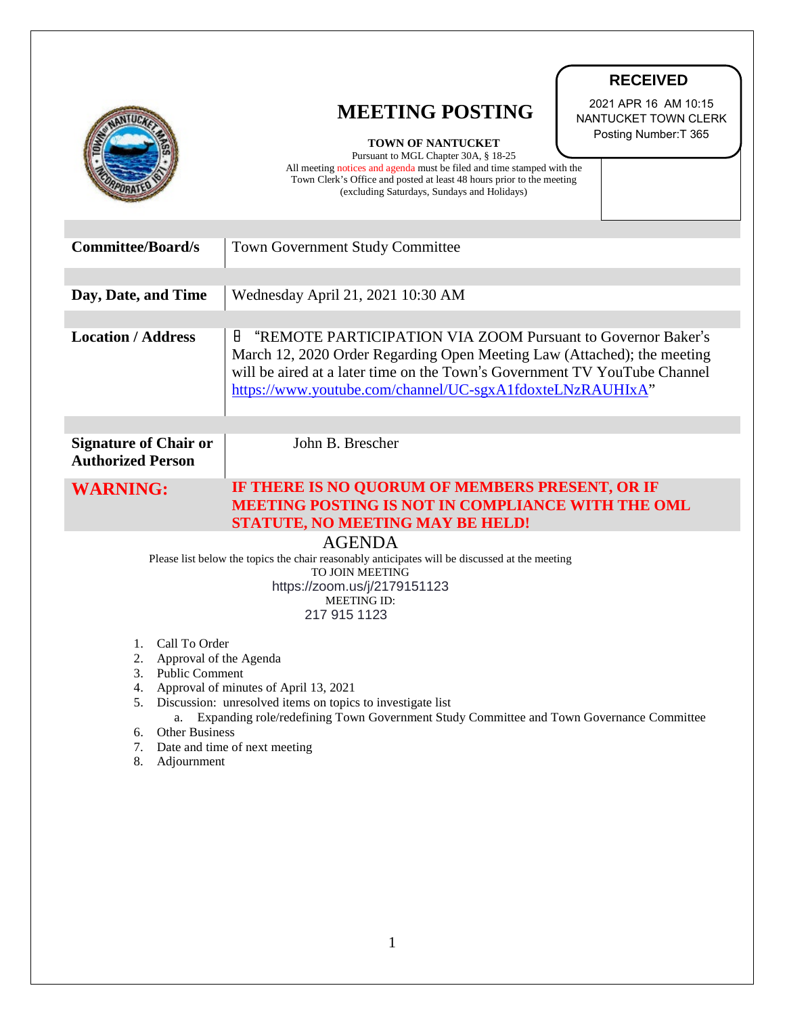|                                                                                                                                                                                                                                                                                                                                                                      | <b>RECEIVED</b>                                                                                                                                                                                                                                                                                                                                                       |
|----------------------------------------------------------------------------------------------------------------------------------------------------------------------------------------------------------------------------------------------------------------------------------------------------------------------------------------------------------------------|-----------------------------------------------------------------------------------------------------------------------------------------------------------------------------------------------------------------------------------------------------------------------------------------------------------------------------------------------------------------------|
|                                                                                                                                                                                                                                                                                                                                                                      | 2021 APR 16 AM 10:15<br><b>MEETING POSTING</b><br>NANTUCKET TOWN CLERK<br>Posting Number: T 365<br><b>TOWN OF NANTUCKET</b><br>Pursuant to MGL Chapter 30A, § 18-25<br>All meeting notices and agenda must be filed and time stamped with the<br>Town Clerk's Office and posted at least 48 hours prior to the meeting<br>(excluding Saturdays, Sundays and Holidays) |
| <b>Committee/Board/s</b>                                                                                                                                                                                                                                                                                                                                             | <b>Town Government Study Committee</b>                                                                                                                                                                                                                                                                                                                                |
| Day, Date, and Time                                                                                                                                                                                                                                                                                                                                                  | Wednesday April 21, 2021 10:30 AM                                                                                                                                                                                                                                                                                                                                     |
| <b>Location / Address</b>                                                                                                                                                                                                                                                                                                                                            | "REMOTE PARTICIPATION VIA ZOOM Pursuant to Governor Baker's<br>8<br>March 12, 2020 Order Regarding Open Meeting Law (Attached); the meeting<br>will be aired at a later time on the Town's Government TV YouTube Channel<br>https://www.youtube.com/channel/UC-sgxA1fdoxteLNzRAUHIxA"                                                                                 |
| <b>Signature of Chair or</b><br><b>Authorized Person</b>                                                                                                                                                                                                                                                                                                             | John B. Brescher                                                                                                                                                                                                                                                                                                                                                      |
| <b>WARNING:</b>                                                                                                                                                                                                                                                                                                                                                      | IF THERE IS NO QUORUM OF MEMBERS PRESENT, OR IF<br><b>MEETING POSTING IS NOT IN COMPLIANCE WITH THE OML</b><br><b>STATUTE, NO MEETING MAY BE HELD!</b>                                                                                                                                                                                                                |
| <b>AGENDA</b><br>Please list below the topics the chair reasonably anticipates will be discussed at the meeting<br><b>TO JOIN MEETING</b><br>https://zoom.us/j/2179151123<br><b>MEETING ID:</b><br>217 915 1123                                                                                                                                                      |                                                                                                                                                                                                                                                                                                                                                                       |
| 1. Call To Order<br>Approval of the Agenda<br>2.<br>3. Public Comment<br>4. Approval of minutes of April 13, 2021<br>5. Discussion: unresolved items on topics to investigate list<br>Expanding role/redefining Town Government Study Committee and Town Governance Committee<br>a.<br>Other Business<br>6.<br>7. Date and time of next meeting<br>8.<br>Adjournment |                                                                                                                                                                                                                                                                                                                                                                       |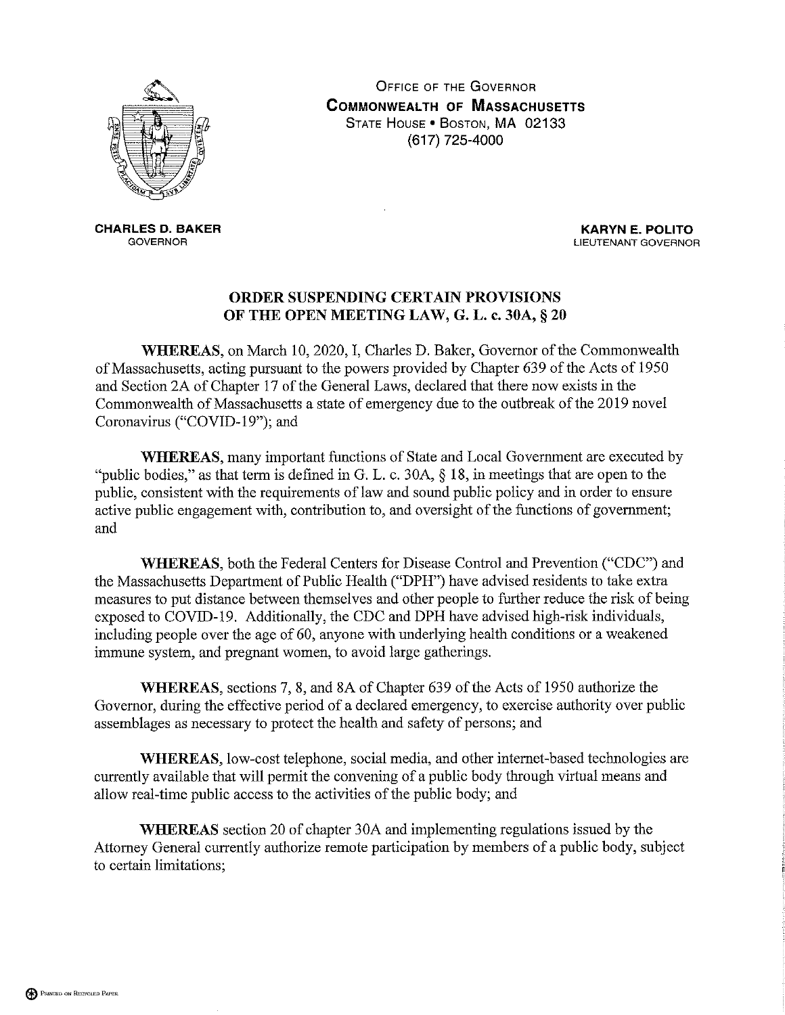

**OFFICE OF THE GOVERNOR COMMONWEALTH OF MASSACHUSETTS** STATE HOUSE . BOSTON, MA 02133 (617) 725-4000

**CHARLES D. BAKER GOVERNOR** 

**KARYN E. POLITO** LIEUTENANT GOVERNOR

## ORDER SUSPENDING CERTAIN PROVISIONS OF THE OPEN MEETING LAW, G. L. c. 30A, § 20

WHEREAS, on March 10, 2020, I, Charles D. Baker, Governor of the Commonwealth of Massachusetts, acting pursuant to the powers provided by Chapter 639 of the Acts of 1950 and Section 2A of Chapter 17 of the General Laws, declared that there now exists in the Commonwealth of Massachusetts a state of emergency due to the outbreak of the 2019 novel Coronavirus ("COVID-19"); and

**WHEREAS**, many important functions of State and Local Government are executed by "public bodies," as that term is defined in G. L. c. 30A,  $\S$  18, in meetings that are open to the public, consistent with the requirements of law and sound public policy and in order to ensure active public engagement with, contribution to, and oversight of the functions of government; and

WHEREAS, both the Federal Centers for Disease Control and Prevention ("CDC") and the Massachusetts Department of Public Health ("DPH") have advised residents to take extra measures to put distance between themselves and other people to further reduce the risk of being exposed to COVID-19. Additionally, the CDC and DPH have advised high-risk individuals, including people over the age of 60, anyone with underlying health conditions or a weakened immune system, and pregnant women, to avoid large gatherings.

WHEREAS, sections 7, 8, and 8A of Chapter 639 of the Acts of 1950 authorize the Governor, during the effective period of a declared emergency, to exercise authority over public assemblages as necessary to protect the health and safety of persons; and

WHEREAS, low-cost telephone, social media, and other internet-based technologies are currently available that will permit the convening of a public body through virtual means and allow real-time public access to the activities of the public body; and

**WHEREAS** section 20 of chapter 30A and implementing regulations issued by the Attorney General currently authorize remote participation by members of a public body, subject to certain limitations;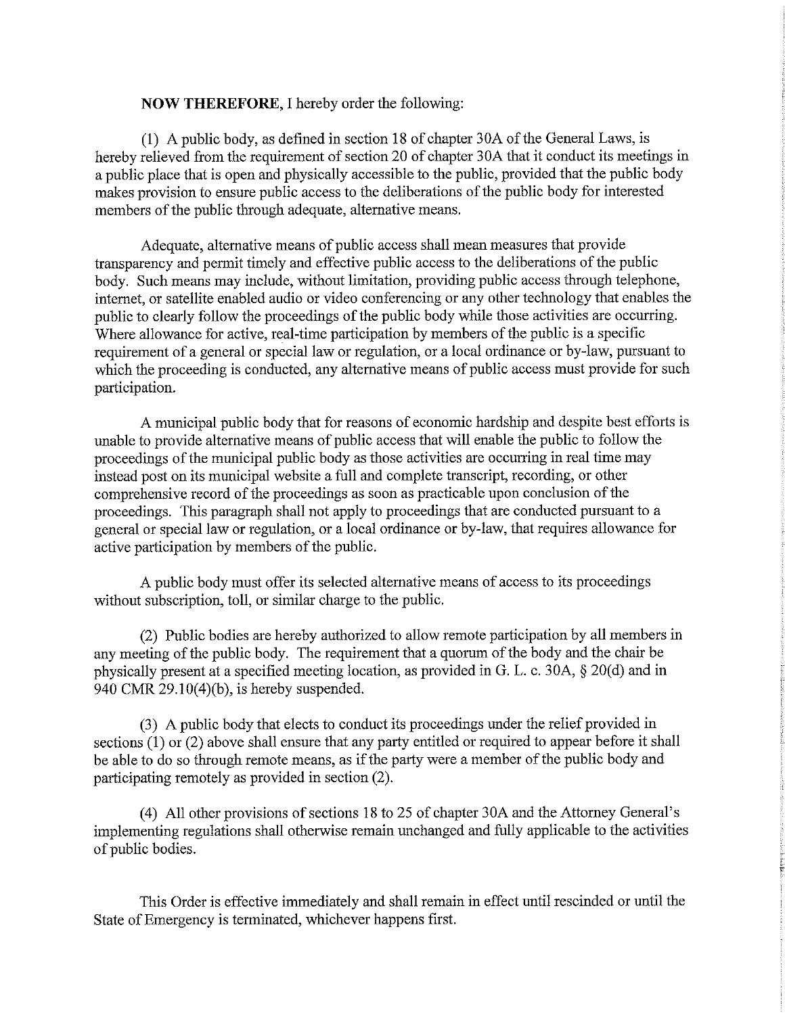## **NOW THEREFORE, I hereby order the following:**

(1) A public body, as defined in section 18 of chapter 30A of the General Laws, is hereby relieved from the requirement of section 20 of chapter 30A that it conduct its meetings in a public place that is open and physically accessible to the public, provided that the public body makes provision to ensure public access to the deliberations of the public body for interested members of the public through adequate, alternative means.

Adequate, alternative means of public access shall mean measures that provide transparency and permit timely and effective public access to the deliberations of the public body. Such means may include, without limitation, providing public access through telephone, internet, or satellite enabled audio or video conferencing or any other technology that enables the public to clearly follow the proceedings of the public body while those activities are occurring. Where allowance for active, real-time participation by members of the public is a specific requirement of a general or special law or regulation, or a local ordinance or by-law, pursuant to which the proceeding is conducted, any alternative means of public access must provide for such participation.

A municipal public body that for reasons of economic hardship and despite best efforts is unable to provide alternative means of public access that will enable the public to follow the proceedings of the municipal public body as those activities are occurring in real time may instead post on its municipal website a full and complete transcript, recording, or other comprehensive record of the proceedings as soon as practicable upon conclusion of the proceedings. This paragraph shall not apply to proceedings that are conducted pursuant to a general or special law or regulation, or a local ordinance or by-law, that requires allowance for active participation by members of the public.

A public body must offer its selected alternative means of access to its proceedings without subscription, toll, or similar charge to the public.

(2) Public bodies are hereby authorized to allow remote participation by all members in any meeting of the public body. The requirement that a quorum of the body and the chair be physically present at a specified meeting location, as provided in G. L. c. 30A, § 20(d) and in 940 CMR  $29.10(4)(b)$ , is hereby suspended.

(3) A public body that elects to conduct its proceedings under the relief provided in sections  $(1)$  or  $(2)$  above shall ensure that any party entitled or required to appear before it shall be able to do so through remote means, as if the party were a member of the public body and participating remotely as provided in section (2).

(4) All other provisions of sections 18 to 25 of chapter 30A and the Attorney General's implementing regulations shall otherwise remain unchanged and fully applicable to the activities of public bodies.

This Order is effective immediately and shall remain in effect until rescinded or until the State of Emergency is terminated, whichever happens first.